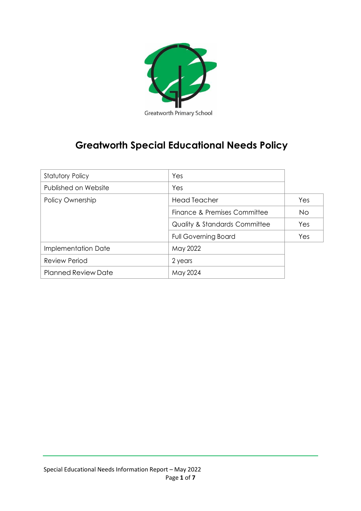

# **Greatworth Special Educational Needs Policy**

| <b>Statutory Policy</b>    | Yes                                      |           |
|----------------------------|------------------------------------------|-----------|
| Published on Website       | Yes                                      |           |
| Policy Ownership           | <b>Head Teacher</b>                      | Yes       |
|                            | Finance & Premises Committee             | <b>No</b> |
|                            | <b>Quality &amp; Standards Committee</b> | Yes       |
|                            | <b>Full Governing Board</b>              | Yes       |
| Implementation Date        | May 2022                                 |           |
| <b>Review Period</b>       | 2 years                                  |           |
| <b>Planned Review Date</b> | May 2024                                 |           |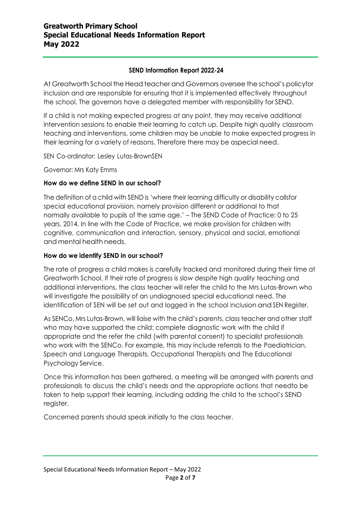#### **SEND Information Report 2022-24**

At Greatworth School the Head teacher and Governors oversee the school's policyfor inclusion and are responsible for ensuring that it is implemented effectively throughout the school. The governors have a delegated member with responsibility for SEND.

If a child is not making expected progress at any point, they may receive additional intervention sessions to enable their learning to catch up. Despite high quality classroom teaching and interventions, some children may be unable to make expected progress in their learning for a variety of reasons. Therefore there may be aspecial need.

SEN Co-ordinator: Lesley Lutas-BrownSEN

Governor: Mrs Katy Emms

### **How do we define SEND in our school?**

The definition of a child with SEND is 'where their learning difficulty or disability callsfor special educational provision, namely provision different or additional to that normally available to pupils of the same age.' – The SEND Code of Practice: 0 to 25 years, 2014. In line with the Code of Practice, we make provision for children with cognitive, communication and interaction, sensory, physical and social, emotional and mental health needs.

#### **How do we identify SEND in our school?**

The rate of progress a child makes is carefully tracked and monitored during their time at Greatworth School. If their rate of progress is slow despite high quality teaching and additional interventions, the class teacher will refer the child to the Mrs Lutas-Brown who will investigate the possibility of an undiagnosed special educational need. The identification of SEN will be set out and logged in the school Inclusion and SEN Register.

As SENCo, Mrs Lutas-Brown, will liaise with the child's parents, class teacher and other staff who may have supported the child; complete diagnostic work with the child if appropriate and the refer the child (with parental consent) to specialist professionals who work with the SENCo. For example, this may include referrals to the Paediatrician, Speech and Language Therapists, Occupational Therapists and The Educational Psychology Service.

Once this information has been gathered, a meeting will be arranged with parents and professionals to discuss the child's needs and the appropriate actions that needto be taken to help support their learning, including adding the child to the school's SEND register.

Concerned parents should speak initially to the class teacher.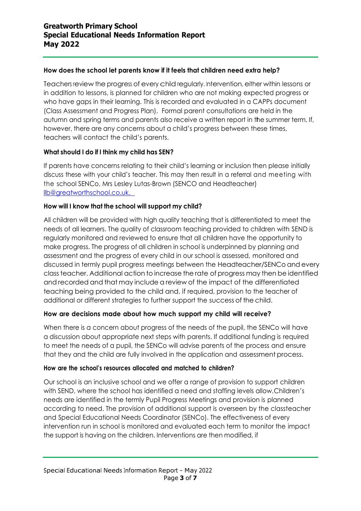#### **How does the school let parents know if it feels that children need extra help?**

Teachers review the progress of every child regularly. Intervention, either within lessons or in addition to lessons, is planned for children who are not making expected progress or who have gaps in their learning. This is recorded and evaluated in a CAPPs document (Class Assessment and Progress Plan). Formal parent consultations are held in the autumn and spring terms and parents also receive a written report in the summer term. If, however, there are any concerns about a child's progress between these times, teachers will contact the child's parents.

#### **What should I do if I think my child has SEN?**

If parents have concerns relating to their child's learning or inclusion then please initially discuss these with your child's teacher. This may then result in a referral and meeting with the school SENCo, Mrs Lesley Lutas-Brown (SENCO and Headteacher) [llb@greatworthschool.co.uk.](mailto:llb@greatworthschool.co.uk.) 

#### **How will I know that the school will support my child?**

All children will be provided with high quality teaching that is differentiated to meet the needs of all learners. The quality of classroom teaching provided to children with SEND is regularly monitored and reviewed to ensure that all children have the opportunity to make progress. The progress of all children in school is underpinned by planning and assessment and the progress of every child in our school is assessed, monitored and discussed in termly pupil progress meetings between the Headteacher/SENCo and every class teacher. Additional action to increase the rate of progress may then be identified and recorded and that may include a review of the impact of the differentiated teaching being provided to the child and, if required, provision to the teacher of additional or different strategies to further support the success of the child.

#### **How are decisions made about how much support my child will receive?**

When there is a concern about progress of the needs of the pupil, the SENCo will have a discussion about appropriate next steps with parents. If additional funding is required to meet the needs of a pupil, the SENCo will advise parents of the process and ensure that they and the child are fully involved in the application and assessment process.

#### **How are the school's resources allocated and matched to children?**

Our school is an inclusive school and we offer a range of provision to support children with SEND, where the school has identified a need and staffing levels allow.Children's needs are identified in the termly Pupil Progress Meetings and provision is planned according to need. The provision of additional support is overseen by the classteacher and Special Educational Needs Coordinator (SENCo). The effectiveness of every intervention run in school is monitored and evaluated each term to monitor the impact the support is having on the children. Interventions are then modified, if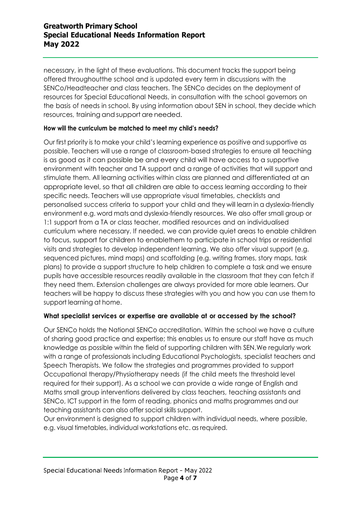necessary, in the light of these evaluations. This document tracks the support being offered throughoutthe school and is updated every term in discussions with the SENCo/Headteacher and class teachers. The SENCo decides on the deployment of resources for Special Educational Needs, in consultation with the school governors on the basis of needs in school. By using information about SEN in school, they decide which resources, training and support are needed.

#### **How will the curriculum be matched to meet my child's needs?**

Our first priority is to make your child's learning experience as positive and supportive as possible. Teachers will use a range of classroom-based strategies to ensure all teaching is as good as it can possible be and every child will have access to a supportive environment with teacher and TA support and a range of activities that will support and stimulate them. All learning activities within class are planned and differentiated at an appropriate level, so that all children are able to access learning according to their specific needs. Teachers will use appropriate visual timetables, checklists and personalised success criteria to support your child and they will learn in a dyslexia-friendly environment e.g. word mats and dyslexia-friendly resources. We also offer small group or 1:1 support from a TA or class teacher, modified resources and an individualised curriculum where necessary. If needed, we can provide quiet areas to enable children to focus, support for children to enablethem to participate in school trips or residential visits and strategies to develop independent learning. We also offer visual support (e.g. sequenced pictures, mind maps) and scaffolding (e.g. writing frames, story maps, task plans) to provide a support structure to help children to complete a task and we ensure pupils have accessible resources readily available in the classroom that they can fetch if they need them. Extension challenges are always provided for more able learners. Our teachers will be happy to discuss these strategies with you and how you can use them to support learning at home.

# **What specialist services or expertise are available at or accessed by the school?**

Our SENCo holds the National SENCo accreditation. Within the school we have a culture of sharing good practice and expertise; this enables us to ensure our staff have as much knowledge as possible within the field of supporting children with SEN.We regularly work with a range of professionals including Educational Psychologists, specialist teachers and Speech Therapists. We follow the strategies and programmes provided to support Occupational therapy/Physiotherapy needs (if the child meets the threshold level required for their support). As a school we can provide a wide range of English and Maths small group interventions delivered by class teachers, teaching assistants and SENCo, ICT support in the form of reading, phonics and maths programmes and our teaching assistants can also offer social skills support.

Our environment is designed to support children with individual needs, where possible, e.g. visual timetables, individual workstations etc. as required.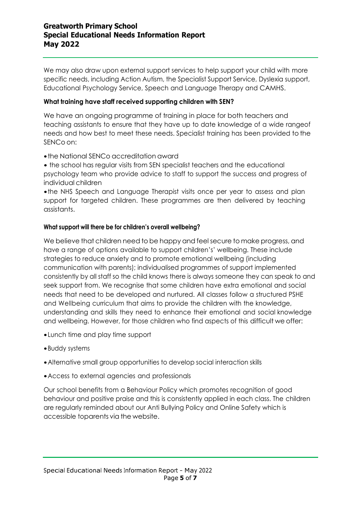# **Greatworth Primary School Special Educational Needs Information Report May 2022**

We may also draw upon external support services to help support your child with more specific needs, including Action Autism, the Specialist Support Service, Dyslexia support, Educational Psychology Service, Speech and Language Therapy and CAMHS.

#### **What training have staff received supporting children with SEN?**

We have an ongoing programme of training in place for both teachers and teaching assistants to ensure that they have up to date knowledge of a wide rangeof needs and how best to meet these needs. Specialist training has been provided to the SENCo on:

•the National SENCo accreditation award

• the school has regular visits from SEN specialist teachers and the educational psychology team who provide advice to staff to support the success and progress of individual children

•the NHS Speech and Language Therapist visits once per year to assess and plan support for targeted children. These programmes are then delivered by teaching assistants.

#### **What support will there be for children's overall wellbeing?**

We believe that children need to be happy and feel secure to make progress, and have a range of options available to support children's' wellbeing. These include strategies to reduce anxiety and to promote emotional wellbeing (including communication with parents); individualised programmes of support implemented consistently by all staff so the child knows there is always someone they can speak to and seek support from. We recognise that some children have extra emotional and social needs that need to be developed and nurtured. All classes follow a structured PSHE and Wellbeing curriculum that aims to provide the children with the knowledge, understanding and skills they need to enhance their emotional and social knowledge and wellbeing. However, for those children who find aspects of this difficult we offer:

- •Lunch time and play time support
- •Buddy systems
- •Alternative small group opportunities to develop social interaction skills
- •Access to external agencies and professionals

Our school benefits from a Behaviour Policy which promotes recognition of good behaviour and positive praise and this is consistently applied in each class. The children are regularly reminded about our Anti Bullying Policy and Online Safety which is accessible toparents via the website.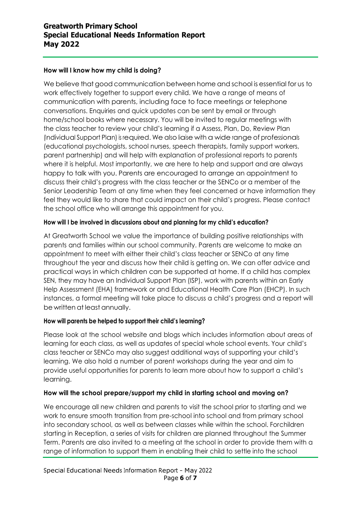#### **How will I know how my child is doing?**

We believe that good communication between home and school is essential for us to work effectively together to support every child. We have a range of means of communication with parents, including face to face meetings or telephone conversations. Enquiries and quick updates can be sent by email or through home/school books where necessary. You will be invited to regular meetings with the class teacher to review your child's learning if a Assess, Plan, Do, Review Plan (Individual Support Plan) is required. We also liaise with a wide range of professionals (educational psychologists, school nurses, speech therapists, family support workers, parent partnership) and will help with explanation of professional reports to parents where it is helpful. Most importantly, we are here to help and support and are always happy to talk with you. Parents are encouraged to arrange an appointment to discuss their child's progress with the class teacher or the SENCo or a member of the Senior Leadership Team at any time when they feel concerned or have information they feel they would like to share that could impact on their child's progress. Please contact the school office who will arrange this appointment for you.

#### **How will I be involved in discussions about and planning for my child's education?**

At Greatworth School we value the importance of building positive relationships with parents and families within our school community. Parents are welcome to make an appointment to meet with either their child's class teacher or SENCo at any time throughout the year and discuss how their child is getting on. We can offer advice and practical ways in which children can be supported at home. If a child has complex SEN, they may have an Individual Support Plan (ISP), work with parents within an Early Help Assessment (EHA) framework or and Educational Health Care Plan (EHCP). In such instances, a formal meeting will take place to discuss a child's progress and a report will be written at least annually.

#### **How will parents be helped to support their child's learning?**

Please look at the school website and blogs which includes information about areas of learning for each class, as well as updates of special whole school events. Your child's class teacher or SENCo may also suggest additional ways of supporting your child's learning. We also hold a number of parent workshops during the year and aim to provide useful opportunities for parents to learn more about how to support a child's learning.

#### **How will the school prepare/support my child in starting school and moving on?**

We encourage all new children and parents to visit the school prior to starting and we work to ensure smooth transition from pre-school into school and from primary school into secondary school, as well as between classes while within the school. Forchildren starting in Reception, a series of visits for children are planned throughout the Summer Term. Parents are also invited to a meeting at the school in order to provide them with a range of information to support them in enabling their child to settle into the school